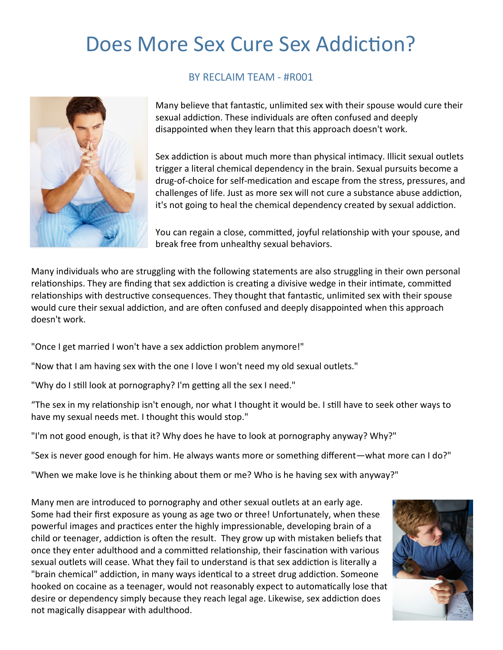# Does More Sex Cure Sex Addiction?



#### BY RECLAIM TEAM - #R001

Many believe that fantastic, unlimited sex with their spouse would cure their sexual addiction. These individuals are often confused and deeply disappointed when they learn that this approach doesn't work.

Sex addiction is about much more than physical intimacy. Illicit sexual outlets trigger a literal chemical dependency in the brain. Sexual pursuits become a drug-of-choice for self-medication and escape from the stress, pressures, and challenges of life. Just as more sex will not cure a substance abuse addiction, it's not going to heal the chemical dependency created by sexual addiction.

You can regain a close, committed, joyful relationship with your spouse, and break free from unhealthy sexual behaviors.

Many individuals who are struggling with the following statements are also struggling in their own personal relationships. They are finding that sex addiction is creating a divisive wedge in their intimate, committed relationships with destructive consequences. They thought that fantastic, unlimited sex with their spouse would cure their sexual addiction, and are often confused and deeply disappointed when this approach doesn't work.

"Once I get married I won't have a sex addiction problem anymore!"

"Now that I am having sex with the one I love I won't need my old sexual outlets."

"Why do I still look at pornography? I'm getting all the sex I need."

"The sex in my relationship isn't enough, nor what I thought it would be. I still have to seek other ways to have my sexual needs met. I thought this would stop."

"I'm not good enough, is that it? Why does he have to look at pornography anyway? Why?"

"Sex is never good enough for him. He always wants more or something different—what more can I do?"

"When we make love is he thinking about them or me? Who is he having sex with anyway?"

Many men are introduced to pornography and other sexual outlets at an early age. Some had their first exposure as young as age two or three! Unfortunately, when these powerful images and practices enter the highly impressionable, developing brain of a child or teenager, addiction is often the result. They grow up with mistaken beliefs that once they enter adulthood and a committed relationship, their fascination with various sexual outlets will cease. What they fail to understand is that sex addiction is literally a "brain chemical" addiction, in many ways identical to a street drug addiction. Someone hooked on cocaine as a teenager, would not reasonably expect to automatically lose that desire or dependency simply because they reach legal age. Likewise, sex addiction does not magically disappear with adulthood.